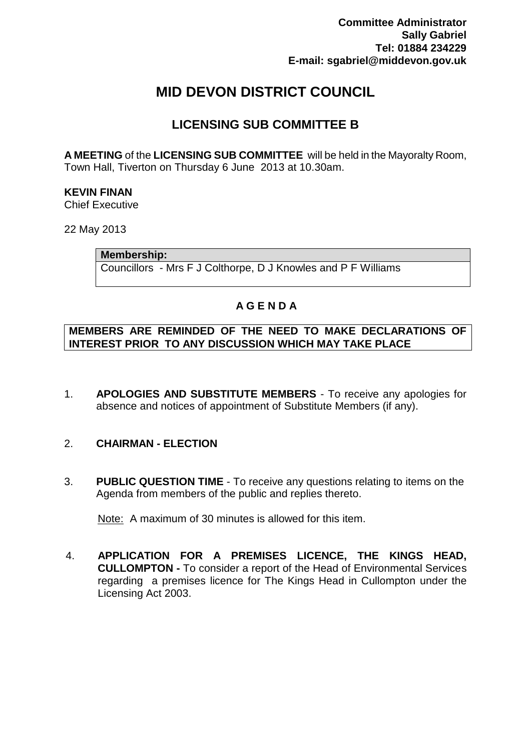# **MID DEVON DISTRICT COUNCIL**

## **LICENSING SUB COMMITTEE B**

**A MEETING** of the **LICENSING SUB COMMITTEE** will be held in the Mayoralty Room, Town Hall, Tiverton on Thursday 6 June 2013 at 10.30am.

### **KEVIN FINAN**

Chief Executive

22 May 2013

**Membership:**

Councillors - Mrs F J Colthorpe, D J Knowles and P F Williams

## **A G E N D A**

#### **MEMBERS ARE REMINDED OF THE NEED TO MAKE DECLARATIONS OF INTEREST PRIOR TO ANY DISCUSSION WHICH MAY TAKE PLACE**

1. **APOLOGIES AND SUBSTITUTE MEMBERS** - To receive any apologies for absence and notices of appointment of Substitute Members (if any).

## 2. **CHAIRMAN - ELECTION**

3. **PUBLIC QUESTION TIME** - To receive any questions relating to items on the Agenda from members of the public and replies thereto.

Note: A maximum of 30 minutes is allowed for this item.

4. **APPLICATION FOR A PREMISES LICENCE, THE KINGS HEAD, CULLOMPTON -** To consider a report of the Head of Environmental Services regarding a premises licence for The Kings Head in Cullompton under the Licensing Act 2003.